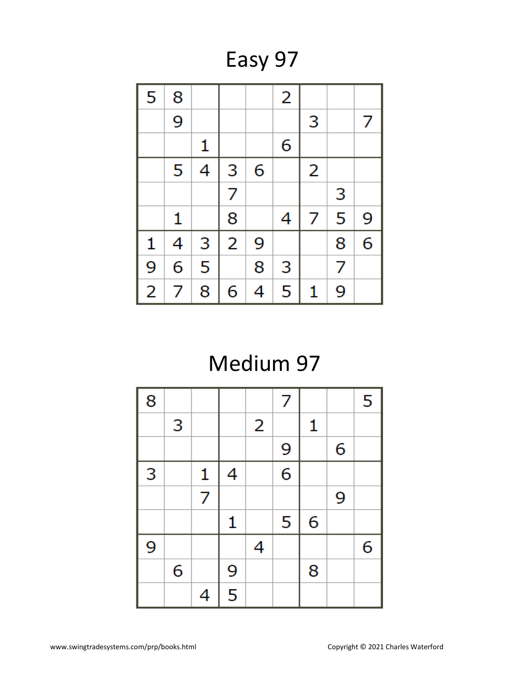Easy 97

| 5              | 8 |   |                |   | 2 |   |   |   |
|----------------|---|---|----------------|---|---|---|---|---|
|                | 9 |   |                |   |   | 3 |   | 7 |
|                |   | 1 |                |   | 6 |   |   |   |
|                | 5 | 4 | 3              | 6 |   | 2 |   |   |
|                |   |   | 7              |   |   |   | 3 |   |
|                | 1 |   | 8              |   | 4 | 7 | 5 | 9 |
| 1              | 4 | 3 | $\overline{2}$ | 9 |   |   | 8 | 6 |
| 9              | 6 | 5 |                | 8 | 3 |   | 7 |   |
| $\overline{2}$ | 7 | 8 | 6              | 4 | 5 | 1 | 9 |   |

# Medium 97

| 8 |   |                |   |                | 7 |   |   | 5 |
|---|---|----------------|---|----------------|---|---|---|---|
|   | 3 |                |   | $\overline{2}$ |   | 1 |   |   |
|   |   |                |   |                | 9 |   | 6 |   |
| 3 |   | $\mathbf{1}$   | 4 |                | 6 |   |   |   |
|   |   | $\overline{7}$ |   |                |   |   | 9 |   |
|   |   |                | 1 |                | 5 | 6 |   |   |
| 9 |   |                |   | 4              |   |   |   | 6 |
|   | 6 |                | 9 |                |   | 8 |   |   |
|   |   | 4              | 5 |                |   |   |   |   |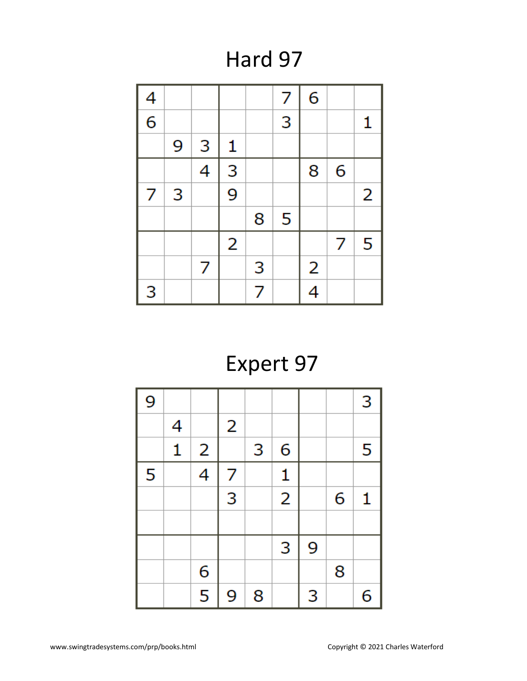Hard 97



### Expert 97

| 9 |              |                         |   |   |                |   |   | 3 |
|---|--------------|-------------------------|---|---|----------------|---|---|---|
|   | 4            |                         | 2 |   |                |   |   |   |
|   | $\mathbf{1}$ | 2                       |   | 3 | 6              |   |   | 5 |
| 5 |              | 4                       | 7 |   | $\mathbf{1}$   |   |   |   |
|   |              |                         | 3 |   | $\overline{2}$ |   | 6 | 1 |
|   |              |                         |   |   |                |   |   |   |
|   |              |                         |   |   | 3              | 9 |   |   |
|   |              | 6                       |   |   |                |   | 8 |   |
|   |              | $\overline{\mathbf{5}}$ | 9 | 8 |                | 3 |   | 6 |